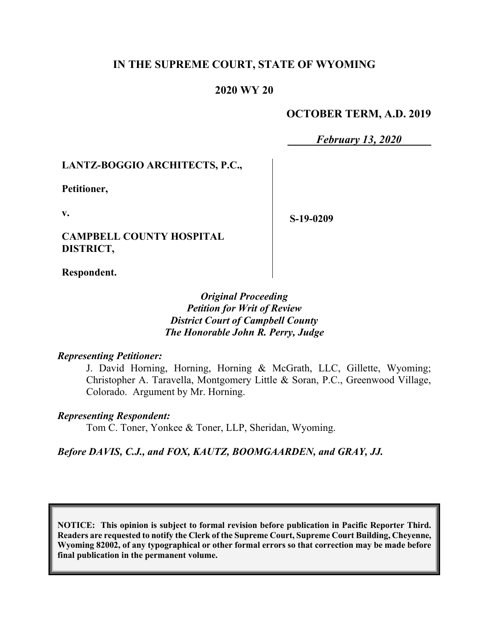# **IN THE SUPREME COURT, STATE OF WYOMING**

## **2020 WY 20**

## **OCTOBER TERM, A.D. 2019**

*February 13, 2020*

#### **LANTZ-BOGGIO ARCHITECTS, P.C.,**

**Petitioner,**

**v.**

**CAMPBELL COUNTY HOSPITAL DISTRICT,**

**S-19-0209**

**Respondent.**

## *Original Proceeding Petition for Writ of Review District Court of Campbell County The Honorable John R. Perry, Judge*

#### *Representing Petitioner:*

J. David Horning, Horning, Horning & McGrath, LLC, Gillette, Wyoming; Christopher A. Taravella, Montgomery Little & Soran, P.C., Greenwood Village, Colorado. Argument by Mr. Horning.

#### *Representing Respondent:*

Tom C. Toner, Yonkee & Toner, LLP, Sheridan, Wyoming.

*Before DAVIS, C.J., and FOX, KAUTZ, BOOMGAARDEN, and GRAY, JJ.*

**NOTICE: This opinion is subject to formal revision before publication in Pacific Reporter Third. Readers are requested to notify the Clerk of the Supreme Court, Supreme Court Building, Cheyenne, Wyoming 82002, of any typographical or other formal errors so that correction may be made before final publication in the permanent volume.**